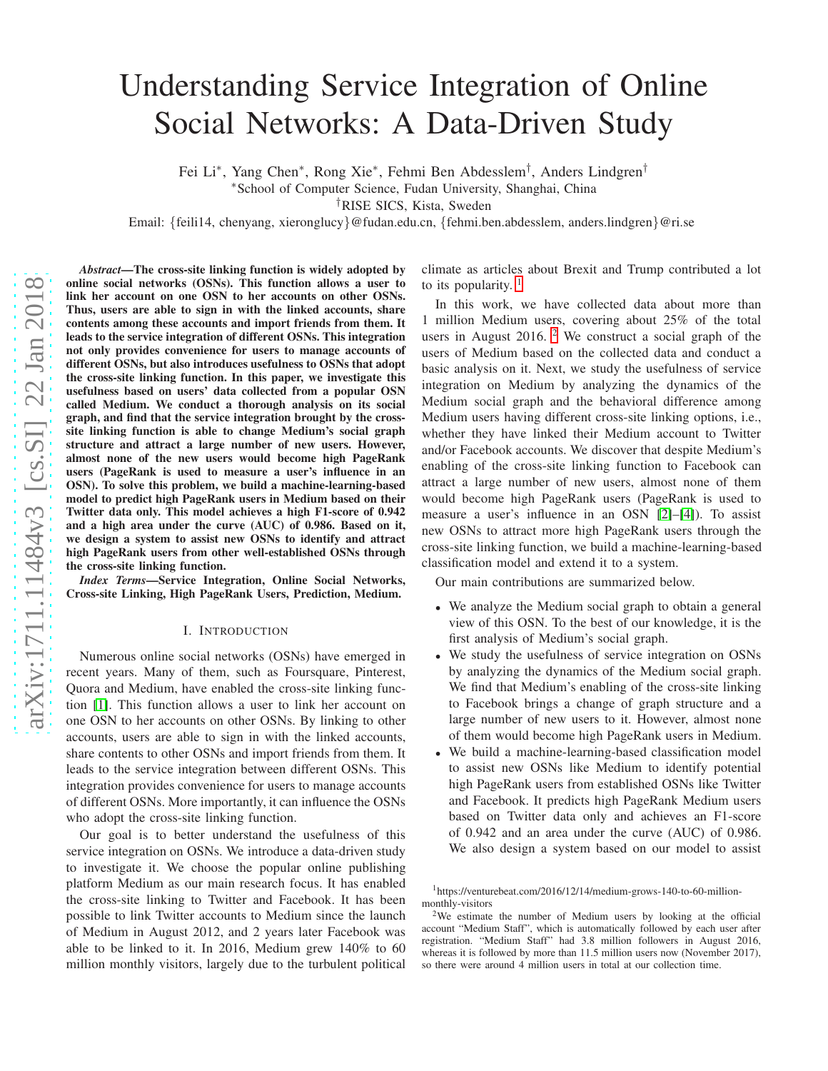# Understanding Service Integration of Online Social Networks: A Data-Driven Study

Fei Li<sup>∗</sup>, Yang Chen<sup>∗</sup>, Rong Xie<sup>∗</sup>, Fehmi Ben Abdesslem<sup>†</sup>, Anders Lindgren<sup>†</sup>

<sup>∗</sup>School of Computer Science, Fudan University, Shanghai, China

†RISE SICS, Kista, Sweden

Email: {feili14, chenyang, xieronglucy}@fudan.edu.cn, {fehmi.ben.abdesslem, anders.lindgren}@ri.se

*Abstract*—The cross-site linking function is widely adopted by online social networks (OSNs). This function allows a user to link her account on one OSN to her accounts on other OSNs. Thus, users are able to sign in with the linked accounts, share contents among these accounts and import friends from them. It leads to the service integration of different OSNs. This integration not only provides convenience for users to manage accounts of different OSNs, but also introduces usefulness to OSNs that adopt the cross-site linking function. In this paper, we investigate this usefulness based on users' data collected from a popular OSN called Medium. We conduct a thorough analysis on its social graph, and find that the service integration brought by the crosssite linking function is able to change Medium's social graph structure and attract a large number of new users. However, almost none of the new users would become high PageRank users (PageRank is used to measure a user's influence in an OSN). To solve this problem, we build a machine-learning-based model to predict high PageRank users in Medium based on their Twitter data only. This model achieves a high F1-score of 0.942 and a high area under the curve (AUC) of 0.986. Based on it, we design a system to assist new OSNs to identify and attract high PageRank users from other well-established OSNs through the cross-site linking function.

<span id="page-0-2"></span>*Index Terms*—Service Integration, Online Social Networks, Cross-site Linking, High PageRank Users, Prediction, Medium.

## I. INTRODUCTION

Numerous online social networks (OSNs) have emerged in recent years. Many of them, such as Foursquare, Pinterest, Quora and Medium, have enabled the cross-site linking function [\[1\]](#page-5-0). This function allows a user to link her account on one OSN to her accounts on other OSNs. By linking to other accounts, users are able to sign in with the linked accounts, share contents to other OSNs and import friends from them. It leads to the service integration between different OSNs. This integration provides convenience for users to manage accounts of different OSNs. More importantly, it can influence the OSNs who adopt the cross-site linking function.

Our goal is to better understand the usefulness of this service integration on OSNs. We introduce a data-driven study to investigate it. We choose the popular online publishing platform Medium as our main research focus. It has enabled the cross-site linking to Twitter and Facebook. It has been possible to link Twitter accounts to Medium since the launch of Medium in August 2012, and 2 years later Facebook was able to be linked to it. In 2016, Medium grew 140% to 60 million monthly visitors, largely due to the turbulent political

climate as articles about Brexit and Trump contributed a lot to its popularity.  $1$ 

In this work, we have collected data about more than 1 million Medium users, covering about 25% of the total users in August [2](#page-0-1)016.  $2$  We construct a social graph of the users of Medium based on the collected data and conduct a basic analysis on it. Next, we study the usefulness of service integration on Medium by analyzing the dynamics of the Medium social graph and the behavioral difference among Medium users having different cross-site linking options, i.e., whether they have linked their Medium account to Twitter and/or Facebook accounts. We discover that despite Medium's enabling of the cross-site linking function to Facebook can attract a large number of new users, almost none of them would become high PageRank users (PageRank is used to measure a user's influence in an OSN [\[2\]](#page-5-1)–[\[4\]](#page-5-2)). To assist new OSNs to attract more high PageRank users through the cross-site linking function, we build a machine-learning-based classification model and extend it to a system.

Our main contributions are summarized below.

- We analyze the Medium social graph to obtain a general view of this OSN. To the best of our knowledge, it is the first analysis of Medium's social graph.
- We study the usefulness of service integration on OSNs by analyzing the dynamics of the Medium social graph. We find that Medium's enabling of the cross-site linking to Facebook brings a change of graph structure and a large number of new users to it. However, almost none of them would become high PageRank users in Medium.
- We build a machine-learning-based classification model to assist new OSNs like Medium to identify potential high PageRank users from established OSNs like Twitter and Facebook. It predicts high PageRank Medium users based on Twitter data only and achieves an F1-score of 0.942 and an area under the curve (AUC) of 0.986. We also design a system based on our model to assist

<span id="page-0-0"></span><sup>1</sup>https://venturebeat.com/2016/12/14/medium-grows-140-to-60-millionmonthly-visitors

<span id="page-0-1"></span><sup>2</sup>We estimate the number of Medium users by looking at the official account "Medium Staff", which is automatically followed by each user after registration. "Medium Staff" had 3.8 million followers in August 2016, whereas it is followed by more than 11.5 million users now (November 2017), so there were around 4 million users in total at our collection time.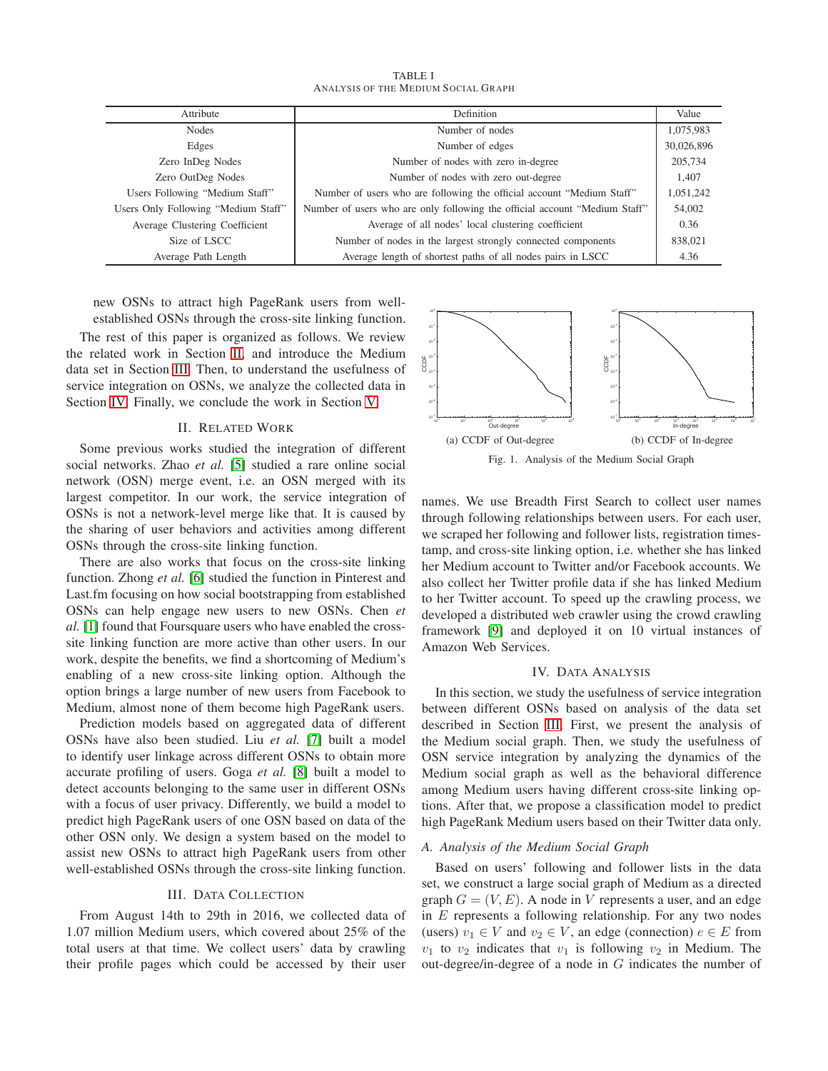TABLE I ANALYSIS OF THE MEDIUM SOCIAL GRAPH

<span id="page-1-3"></span>

| Attribute                           | Definition                                                                 | Value      |
|-------------------------------------|----------------------------------------------------------------------------|------------|
| <b>Nodes</b>                        | Number of nodes                                                            | 1,075,983  |
| Edges                               | Number of edges                                                            | 30,026,896 |
| Zero InDeg Nodes                    | Number of nodes with zero in-degree                                        | 205,734    |
| Zero OutDeg Nodes                   | Number of nodes with zero out-degree                                       | 1.407      |
| Users Following "Medium Staff"      | Number of users who are following the official account "Medium Staff"      | 1,051,242  |
| Users Only Following "Medium Staff" | Number of users who are only following the official account "Medium Staff" | 54,002     |
| Average Clustering Coefficient      | Average of all nodes' local clustering coefficient                         | 0.36       |
| Size of LSCC                        | Number of nodes in the largest strongly connected components               | 838,021    |
| Average Path Length                 | Average length of shortest paths of all nodes pairs in LSCC                | 4.36       |

new OSNs to attract high PageRank users from wellestablished OSNs through the cross-site linking function.

The rest of this paper is organized as follows. We review the related work in Section [II,](#page-1-0) and introduce the Medium data set in Section [III.](#page-1-1) Then, to understand the usefulness of service integration on OSNs, we analyze the collected data in Section [IV.](#page-1-2) Finally, we conclude the work in Section [V.](#page-4-0)

# II. RELATED WORK

<span id="page-1-0"></span>Some previous works studied the integration of different social networks. Zhao *et al.* [\[5\]](#page-5-3) studied a rare online social network (OSN) merge event, i.e. an OSN merged with its largest competitor. In our work, the service integration of OSNs is not a network-level merge like that. It is caused by the sharing of user behaviors and activities among different OSNs through the cross-site linking function.

There are also works that focus on the cross-site linking function. Zhong *et al.* [\[6\]](#page-5-4) studied the function in Pinterest and Last.fm focusing on how social bootstrapping from established OSNs can help engage new users to new OSNs. Chen *et al.* [\[1\]](#page-5-0) found that Foursquare users who have enabled the crosssite linking function are more active than other users. In our work, despite the benefits, we find a shortcoming of Medium's enabling of a new cross-site linking option. Although the option brings a large number of new users from Facebook to Medium, almost none of them become high PageRank users.

Prediction models based on aggregated data of different OSNs have also been studied. Liu *et al.* [\[7\]](#page-5-5) built a model to identify user linkage across different OSNs to obtain more accurate profiling of users. Goga *et al.* [\[8\]](#page-5-6) built a model to detect accounts belonging to the same user in different OSNs with a focus of user privacy. Differently, we build a model to predict high PageRank users of one OSN based on data of the other OSN only. We design a system based on the model to assist new OSNs to attract high PageRank users from other well-established OSNs through the cross-site linking function.

## III. DATA COLLECTION

<span id="page-1-1"></span>From August 14th to 29th in 2016, we collected data of 1.07 million Medium users, which covered about 25% of the total users at that time. We collect users' data by crawling their profile pages which could be accessed by their user



<span id="page-1-5"></span><span id="page-1-4"></span>Fig. 1. Analysis of the Medium Social Graph

names. We use Breadth First Search to collect user names through following relationships between users. For each user, we scraped her following and follower lists, registration timestamp, and cross-site linking option, i.e. whether she has linked her Medium account to Twitter and/or Facebook accounts. We also collect her Twitter profile data if she has linked Medium to her Twitter account. To speed up the crawling process, we developed a distributed web crawler using the crowd crawling framework [\[9\]](#page-5-7) and deployed it on 10 virtual instances of Amazon Web Services.

### IV. DATA ANALYSIS

<span id="page-1-2"></span>In this section, we study the usefulness of service integration between different OSNs based on analysis of the data set described in Section [III.](#page-1-1) First, we present the analysis of the Medium social graph. Then, we study the usefulness of OSN service integration by analyzing the dynamics of the Medium social graph as well as the behavioral difference among Medium users having different cross-site linking options. After that, we propose a classification model to predict high PageRank Medium users based on their Twitter data only.

# *A. Analysis of the Medium Social Graph*

Based on users' following and follower lists in the data set, we construct a large social graph of Medium as a directed graph  $G = (V, E)$ . A node in V represents a user, and an edge in  $E$  represents a following relationship. For any two nodes (users)  $v_1 \in V$  and  $v_2 \in V$ , an edge (connection)  $e \in E$  from  $v_1$  to  $v_2$  indicates that  $v_1$  is following  $v_2$  in Medium. The out-degree/in-degree of a node in  $G$  indicates the number of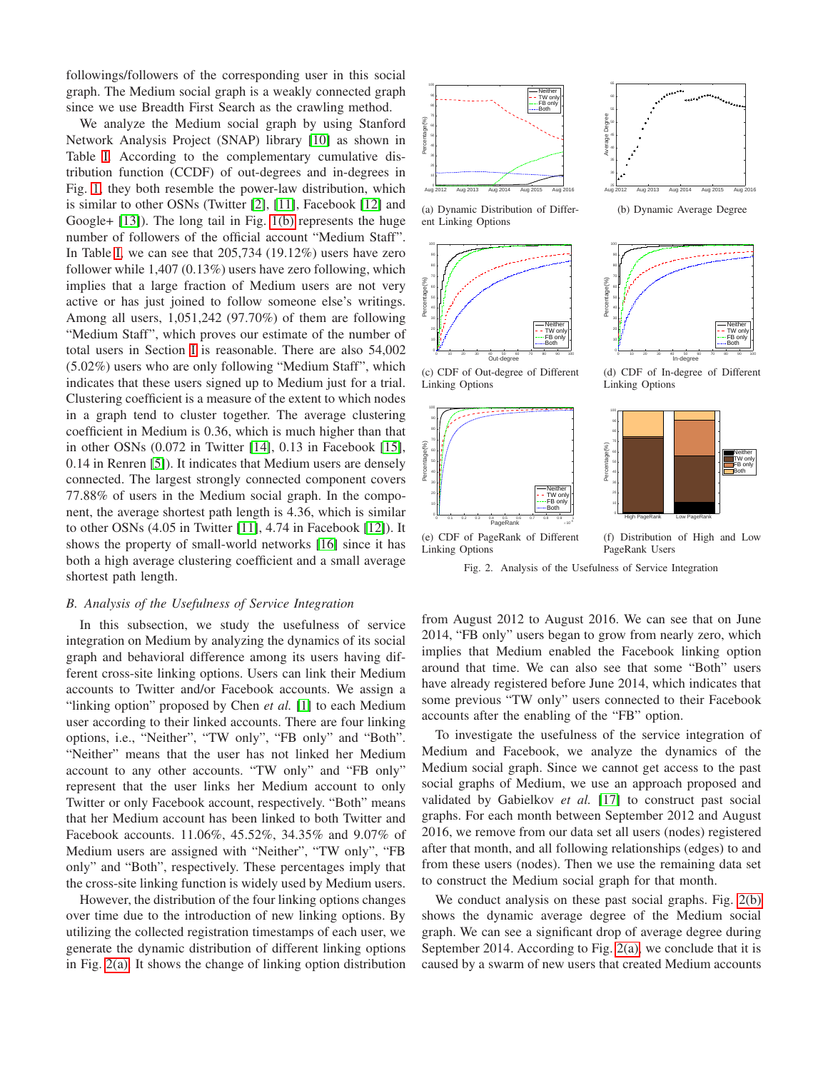followings/followers of the corresponding user in this social graph. The Medium social graph is a weakly connected graph since we use Breadth First Search as the crawling method.

We analyze the Medium social graph by using Stanford Network Analysis Project (SNAP) library [\[10\]](#page-5-8) as shown in Table [I.](#page-1-3) According to the complementary cumulative distribution function (CCDF) of out-degrees and in-degrees in Fig. [1,](#page-1-4) they both resemble the power-law distribution, which is similar to other OSNs (Twitter [\[2\]](#page-5-1), [\[11\]](#page-5-9), Facebook [12] and Google+ [\[13\]](#page-5-10)). The long tail in Fig. [1\(b\)](#page-1-5) represents the huge number of followers of the official account "Medium Staff". In Table [I,](#page-1-3) we can see that 205,734 (19.12%) users have zero follower while 1,407 (0.13%) users have zero following, which implies that a large fraction of Medium users are not very active or has just joined to follow someone else's writings. Among all users, 1,051,242 (97.70%) of them are following "Medium Staff", which proves our estimate of the number of total users in Section [I](#page-0-2) is reasonable. There are also 54,002 (5.02%) users who are only following "Medium Staff", which indicates that these users signed up to Medium just for a trial. Clustering coefficient is a measure of the extent to which nodes in a graph tend to cluster together. The average clustering coefficient in Medium is 0.36, which is much higher than that in other OSNs (0.072 in Twitter [\[14\]](#page-5-11), 0.13 in Facebook [\[15\]](#page-5-12), 0.14 in Renren [\[5\]](#page-5-3)). It indicates that Medium users are densely connected. The largest strongly connected component covers 77.88% of users in the Medium social graph. In the component, the average shortest path length is 4.36, which is similar to other OSNs (4.05 in Twitter [\[11\]](#page-5-9), 4.74 in Facebook [12]). It shows the property of small-world networks [\[16\]](#page-5-13) since it has both a high average clustering coefficient and a small average shortest path length.

# <span id="page-2-6"></span>*B. Analysis of the Usefulness of Service Integration*

In this subsection, we study the usefulness of service integration on Medium by analyzing the dynamics of its social graph and behavioral difference among its users having different cross-site linking options. Users can link their Medium accounts to Twitter and/or Facebook accounts. We assign a "linking option" proposed by Chen *et al.* [\[1\]](#page-5-0) to each Medium user according to their linked accounts. There are four linking options, i.e., "Neither", "TW only", "FB only" and "Both". "Neither" means that the user has not linked her Medium account to any other accounts. "TW only" and "FB only" represent that the user links her Medium account to only Twitter or only Facebook account, respectively. "Both" means that her Medium account has been linked to both Twitter and Facebook accounts. 11.06%, 45.52%, 34.35% and 9.07% of Medium users are assigned with "Neither", "TW only", "FB only" and "Both", respectively. These percentages imply that the cross-site linking function is widely used by Medium users.

However, the distribution of the four linking options changes over time due to the introduction of new linking options. By utilizing the collected registration timestamps of each user, we generate the dynamic distribution of different linking options in Fig. [2\(a\).](#page-2-0) It shows the change of linking option distribution

<span id="page-2-0"></span>

<span id="page-2-2"></span>(a) Dynamic Distribution of Different Linking Options



<span id="page-2-1"></span>



Linking Options

Average Degree

<span id="page-2-4"></span>(c) CDF of Out-degree of Different Linking Options



<span id="page-2-3"></span>(d) CDF of In-degree of Different

Neither TW only FB only Both

Neither TW only FB only Both

<span id="page-2-5"></span>

Fig. 2. Analysis of the Usefulness of Service Integration

from August 2012 to August 2016. We can see that on June 2014, "FB only" users began to grow from nearly zero, which implies that Medium enabled the Facebook linking option around that time. We can also see that some "Both" users have already registered before June 2014, which indicates that some previous "TW only" users connected to their Facebook accounts after the enabling of the "FB" option.

To investigate the usefulness of the service integration of Medium and Facebook, we analyze the dynamics of the Medium social graph. Since we cannot get access to the past social graphs of Medium, we use an approach proposed and validated by Gabielkov *et al.* [\[17\]](#page-5-14) to construct past social graphs. For each month between September 2012 and August 2016, we remove from our data set all users (nodes) registered after that month, and all following relationships (edges) to and from these users (nodes). Then we use the remaining data set to construct the Medium social graph for that month.

We conduct analysis on these past social graphs. Fig. [2\(b\)](#page-2-1) shows the dynamic average degree of the Medium social graph. We can see a significant drop of average degree during September 2014. According to Fig. [2\(a\),](#page-2-0) we conclude that it is caused by a swarm of new users that created Medium accounts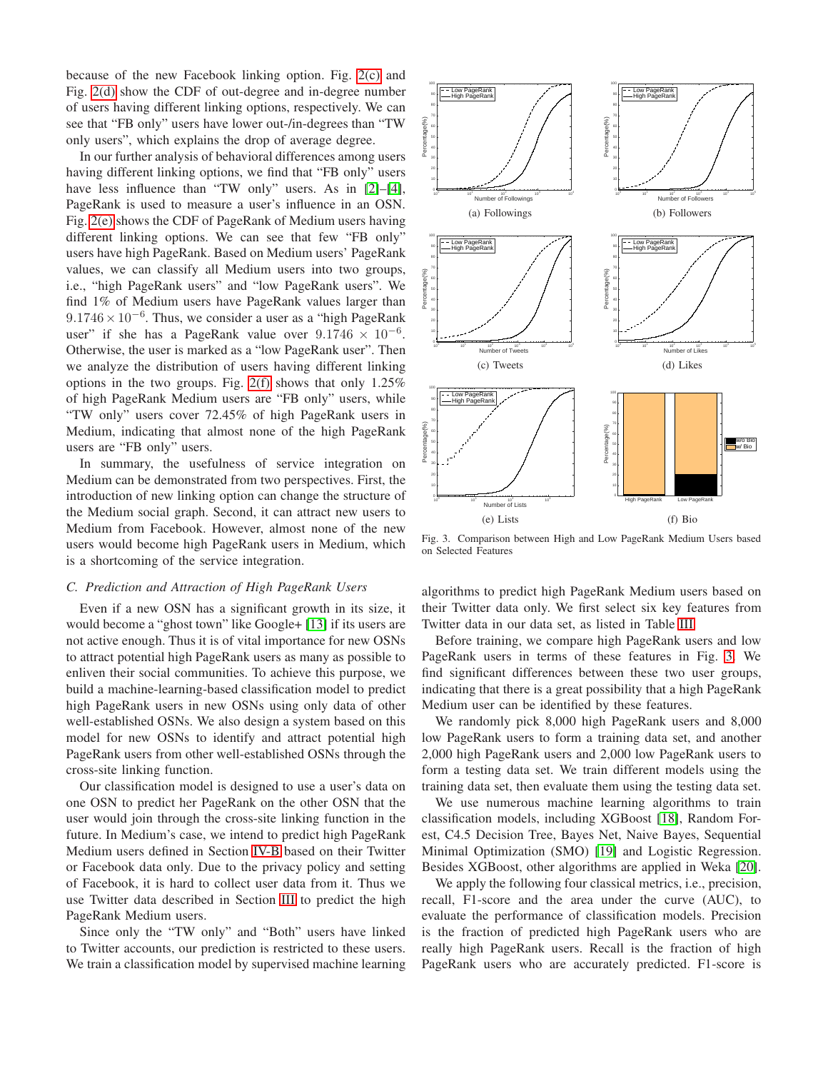because of the new Facebook linking option. Fig. [2\(c\)](#page-2-2) and Fig. [2\(d\)](#page-2-3) show the CDF of out-degree and in-degree number of users having different linking options, respectively. We can see that "FB only" users have lower out-/in-degrees than "TW only users", which explains the drop of average degree.

In our further analysis of behavioral differences among users having different linking options, we find that "FB only" users have less influence than "TW only" users. As in [\[2\]](#page-5-1)–[\[4\]](#page-5-2), PageRank is used to measure a user's influence in an OSN. Fig. [2\(e\)](#page-2-4) shows the CDF of PageRank of Medium users having different linking options. We can see that few "FB only" users have high PageRank. Based on Medium users' PageRank values, we can classify all Medium users into two groups, i.e., "high PageRank users" and "low PageRank users". We find 1% of Medium users have PageRank values larger than 9.1746 × 10<sup>-6</sup>. Thus, we consider a user as a "high PageRank user" if she has a PageRank value over  $9.1746 \times 10^{-6}$ . Otherwise, the user is marked as a "low PageRank user". Then we analyze the distribution of users having different linking options in the two groups. Fig. [2\(f\)](#page-2-5) shows that only 1.25% of high PageRank Medium users are "FB only" users, while "TW only" users cover 72.45% of high PageRank users in Medium, indicating that almost none of the high PageRank users are "FB only" users.

In summary, the usefulness of service integration on Medium can be demonstrated from two perspectives. First, the introduction of new linking option can change the structure of the Medium social graph. Second, it can attract new users to Medium from Facebook. However, almost none of the new users would become high PageRank users in Medium, which is a shortcoming of the service integration.

## *C. Prediction and Attraction of High PageRank Users*

Even if a new OSN has a significant growth in its size, it would become a "ghost town" like Google+ [\[13\]](#page-5-10) if its users are not active enough. Thus it is of vital importance for new OSNs to attract potential high PageRank users as many as possible to enliven their social communities. To achieve this purpose, we build a machine-learning-based classification model to predict high PageRank users in new OSNs using only data of other well-established OSNs. We also design a system based on this model for new OSNs to identify and attract potential high PageRank users from other well-established OSNs through the cross-site linking function.

Our classification model is designed to use a user's data on one OSN to predict her PageRank on the other OSN that the user would join through the cross-site linking function in the future. In Medium's case, we intend to predict high PageRank Medium users defined in Section [IV-B](#page-2-6) based on their Twitter or Facebook data only. Due to the privacy policy and setting of Facebook, it is hard to collect user data from it. Thus we use Twitter data described in Section [III](#page-1-1) to predict the high PageRank Medium users.

Since only the "TW only" and "Both" users have linked to Twitter accounts, our prediction is restricted to these users. We train a classification model by supervised machine learning



<span id="page-3-0"></span>Fig. 3. Comparison between High and Low PageRank Medium Users based on Selected Features

algorithms to predict high PageRank Medium users based on their Twitter data only. We first select six key features from Twitter data in our data set, as listed in Table [III.](#page-4-1)

Before training, we compare high PageRank users and low PageRank users in terms of these features in Fig. [3.](#page-3-0) We find significant differences between these two user groups, indicating that there is a great possibility that a high PageRank Medium user can be identified by these features.

We randomly pick 8,000 high PageRank users and 8,000 low PageRank users to form a training data set, and another 2,000 high PageRank users and 2,000 low PageRank users to form a testing data set. We train different models using the training data set, then evaluate them using the testing data set.

We use numerous machine learning algorithms to train classification models, including XGBoost [\[18\]](#page-5-15), Random Forest, C4.5 Decision Tree, Bayes Net, Naive Bayes, Sequential Minimal Optimization (SMO) [\[19\]](#page-5-16) and Logistic Regression. Besides XGBoost, other algorithms are applied in Weka [\[20\]](#page-5-17).

We apply the following four classical metrics, i.e., precision, recall, F1-score and the area under the curve (AUC), to evaluate the performance of classification models. Precision is the fraction of predicted high PageRank users who are really high PageRank users. Recall is the fraction of high PageRank users who are accurately predicted. F1-score is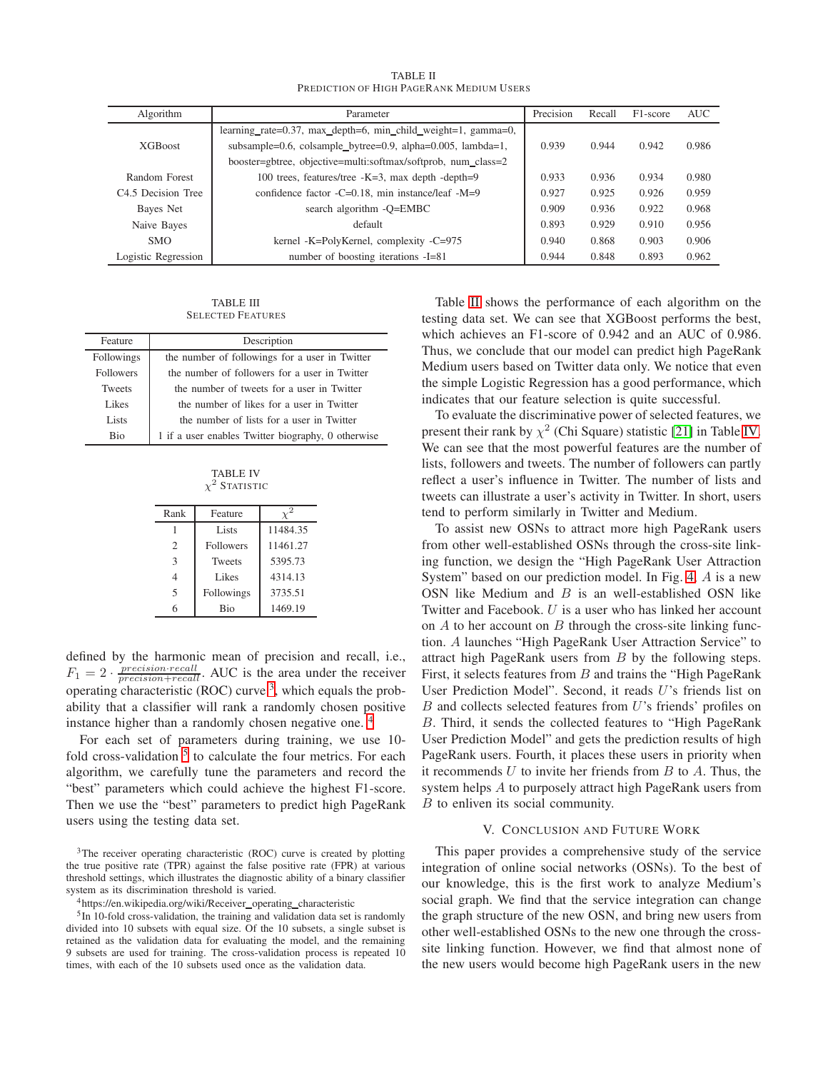<span id="page-4-5"></span>

| Algorithm                      | Parameter                                                     | Precision | Recall | F <sub>1</sub> -score | <b>AUC</b> |
|--------------------------------|---------------------------------------------------------------|-----------|--------|-----------------------|------------|
|                                | learning_rate=0.37, max_depth=6, min_child_weight=1, gamma=0, |           |        |                       |            |
| <b>XGBoost</b>                 | subsample=0.6, colsample_bytree=0.9, alpha=0.005, lambda=1,   | 0.939     | 0.944  | 0.942                 | 0.986      |
|                                | booster=gbtree, objective=multi:softmax/softprob, num class=2 |           |        |                       |            |
| Random Forest                  | 100 trees, features/tree -K=3, max depth -depth=9             | 0.933     | 0.936  | 0.934                 | 0.980      |
| C <sub>4.5</sub> Decision Tree | confidence factor $-C=0.18$ , min instance/leaf $-M=9$        | 0.927     | 0.925  | 0.926                 | 0.959      |
| Bayes Net                      | search algorithm -O=EMBC                                      | 0.909     | 0.936  | 0.922                 | 0.968      |
| Naive Bayes                    | default                                                       | 0.893     | 0.929  | 0.910                 | 0.956      |
| <b>SMO</b>                     | kernel - K=PolyKernel, complexity - C=975                     | 0.940     | 0.868  | 0.903                 | 0.906      |
| Logistic Regression            | number of boosting iterations -I=81                           | 0.944     | 0.848  | 0.893                 | 0.962      |

TABLE II PREDICTION OF HIGH PAGERANK MEDIUM USERS

TABLE III SELECTED FEATURES

<span id="page-4-1"></span>

| Feature          | Description                                        |  |
|------------------|----------------------------------------------------|--|
| Followings       | the number of followings for a user in Twitter     |  |
| <b>Followers</b> | the number of followers for a user in Twitter      |  |
| Tweets           | the number of tweets for a user in Twitter         |  |
| Likes            | the number of likes for a user in Twitter          |  |
| Lists            | the number of lists for a user in Twitter          |  |
| <b>Bio</b>       | 1 if a user enables Twitter biography, 0 otherwise |  |

TABLE IV  $\chi^2$  Statistic

<span id="page-4-6"></span>

| Rank                        | Feature          |          |
|-----------------------------|------------------|----------|
|                             | Lists            | 11484.35 |
| $\mathcal{D}_{\mathcal{L}}$ | <b>Followers</b> | 11461.27 |
| $\mathbf{3}$                | Tweets           | 5395.73  |
| 4                           | Likes            | 4314.13  |
| $\overline{5}$              | Followings       | 3735.51  |
|                             | Bio              | 1469.19  |

defined by the harmonic mean of precision and recall, i.e.,  $F_1 = 2 \cdot \frac{precision \cdot recall}{precision + recall}$ . AUC is the area under the receiver operating characteristic (ROC) curve  $3$ , which equals the probability that a classifier will rank a randomly chosen positive instance higher than a randomly chosen negative one.<sup>[4](#page-4-3)</sup>

For each set of parameters during training, we use 10 fold cross-validation  $5$  to calculate the four metrics. For each algorithm, we carefully tune the parameters and record the "best" parameters which could achieve the highest F1-score. Then we use the "best" parameters to predict high PageRank users using the testing data set.

<span id="page-4-2"></span><sup>3</sup>The receiver operating characteristic (ROC) curve is created by plotting the true positive rate (TPR) against the false positive rate (FPR) at various threshold settings, which illustrates the diagnostic ability of a binary classifier system as its discrimination threshold is varied.

<span id="page-4-3"></span><sup>4</sup>https://en.wikipedia.org/wiki/Receiver\_operating\_characteristic

<span id="page-4-4"></span><sup>5</sup>In 10-fold cross-validation, the training and validation data set is randomly divided into 10 subsets with equal size. Of the 10 subsets, a single subset is retained as the validation data for evaluating the model, and the remaining 9 subsets are used for training. The cross-validation process is repeated 10 times, with each of the 10 subsets used once as the validation data.

Table [II](#page-4-5) shows the performance of each algorithm on the testing data set. We can see that XGBoost performs the best, which achieves an F1-score of 0.942 and an AUC of 0.986. Thus, we conclude that our model can predict high PageRank Medium users based on Twitter data only. We notice that even the simple Logistic Regression has a good performance, which indicates that our feature selection is quite successful.

To evaluate the discriminative power of selected features, we present their rank by  $\chi^2$  (Chi Square) statistic [\[21\]](#page-5-18) in Table [IV.](#page-4-6) We can see that the most powerful features are the number of lists, followers and tweets. The number of followers can partly reflect a user's influence in Twitter. The number of lists and tweets can illustrate a user's activity in Twitter. In short, users tend to perform similarly in Twitter and Medium.

To assist new OSNs to attract more high PageRank users from other well-established OSNs through the cross-site linking function, we design the "High PageRank User Attraction System" based on our prediction model. In Fig. [4,](#page-5-19) A is a new OSN like Medium and  $B$  is an well-established OSN like Twitter and Facebook.  $U$  is a user who has linked her account on  $A$  to her account on  $B$  through the cross-site linking function. A launches "High PageRank User Attraction Service" to attract high PageRank users from  $B$  by the following steps. First, it selects features from  $B$  and trains the "High PageRank" User Prediction Model". Second, it reads U's friends list on  $B$  and collects selected features from  $U$ 's friends' profiles on B. Third, it sends the collected features to "High PageRank User Prediction Model" and gets the prediction results of high PageRank users. Fourth, it places these users in priority when it recommends  $U$  to invite her friends from  $B$  to  $A$ . Thus, the system helps A to purposely attract high PageRank users from B to enliven its social community.

#### V. CONCLUSION AND FUTURE WORK

<span id="page-4-0"></span>This paper provides a comprehensive study of the service integration of online social networks (OSNs). To the best of our knowledge, this is the first work to analyze Medium's social graph. We find that the service integration can change the graph structure of the new OSN, and bring new users from other well-established OSNs to the new one through the crosssite linking function. However, we find that almost none of the new users would become high PageRank users in the new